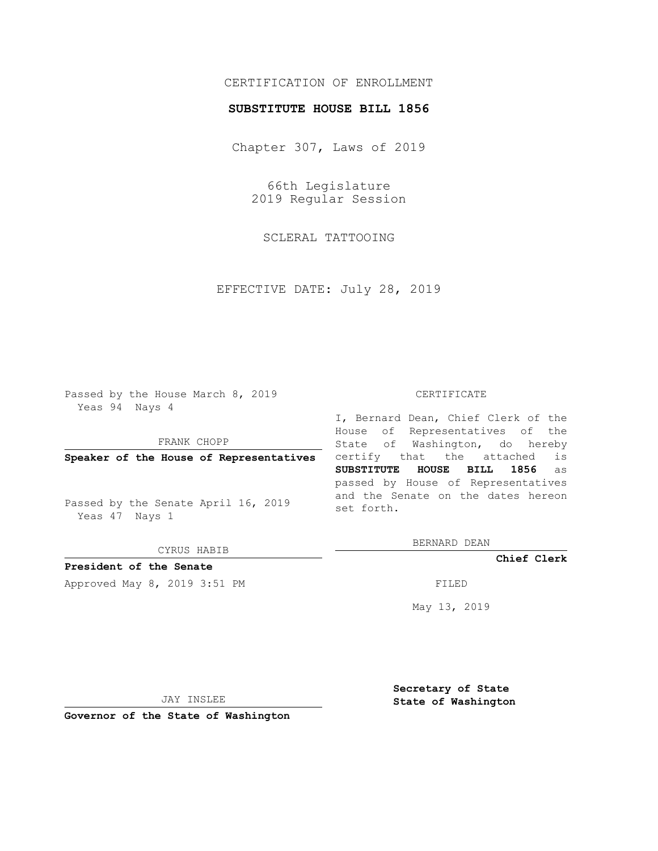# CERTIFICATION OF ENROLLMENT

### **SUBSTITUTE HOUSE BILL 1856**

Chapter 307, Laws of 2019

66th Legislature 2019 Regular Session

SCLERAL TATTOOING

EFFECTIVE DATE: July 28, 2019

Passed by the House March 8, 2019 Yeas 94 Nays 4

FRANK CHOPP

**Speaker of the House of Representatives**

Passed by the Senate April 16, 2019 Yeas 47 Nays 1

CYRUS HABIB

**President of the Senate**

Approved May 8, 2019 3:51 PM

#### CERTIFICATE

I, Bernard Dean, Chief Clerk of the House of Representatives of the State of Washington, do hereby certify that the attached is **SUBSTITUTE HOUSE BILL 1856** as passed by House of Representatives and the Senate on the dates hereon set forth.

BERNARD DEAN

**Chief Clerk**

May 13, 2019

JAY INSLEE

**Governor of the State of Washington**

**Secretary of State State of Washington**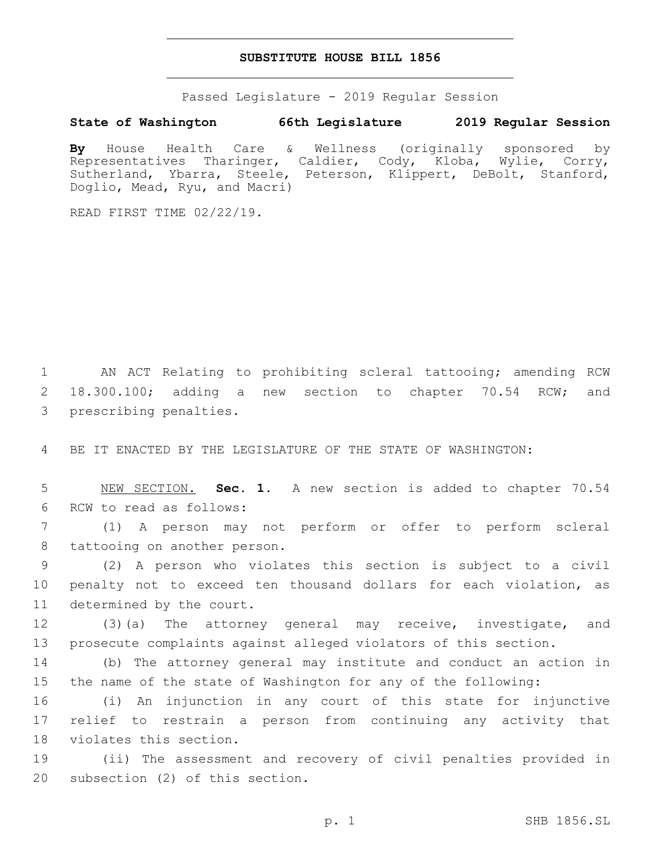## **SUBSTITUTE HOUSE BILL 1856**

Passed Legislature - 2019 Regular Session

## **State of Washington 66th Legislature 2019 Regular Session**

**By** House Health Care & Wellness (originally sponsored by Representatives Tharinger, Caldier, Cody, Kloba, Wylie, Corry, Sutherland, Ybarra, Steele, Peterson, Klippert, DeBolt, Stanford, Doglio, Mead, Ryu, and Macri)

READ FIRST TIME 02/22/19.

1 AN ACT Relating to prohibiting scleral tattooing; amending RCW 2 18.300.100; adding a new section to chapter 70.54 RCW; and 3 prescribing penalties.

4 BE IT ENACTED BY THE LEGISLATURE OF THE STATE OF WASHINGTON:

5 NEW SECTION. **Sec. 1.** A new section is added to chapter 70.54 6 RCW to read as follows:

7 (1) A person may not perform or offer to perform scleral 8 tattooing on another person.

9 (2) A person who violates this section is subject to a civil 10 penalty not to exceed ten thousand dollars for each violation, as 11 determined by the court.

12 (3)(a) The attorney general may receive, investigate, and 13 prosecute complaints against alleged violators of this section.

14 (b) The attorney general may institute and conduct an action in 15 the name of the state of Washington for any of the following:

16 (i) An injunction in any court of this state for injunctive 17 relief to restrain a person from continuing any activity that 18 violates this section.

19 (ii) The assessment and recovery of civil penalties provided in 20 subsection (2) of this section.